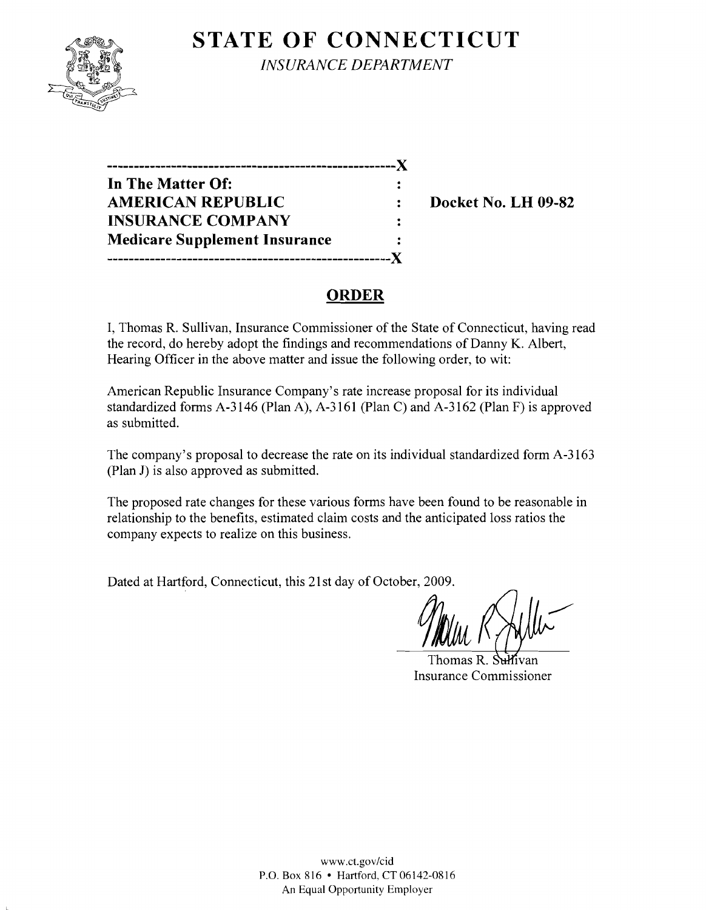## **STATE OF CONNECTICUT**



*INSURANCE DEPARTMENT* 

**------------------------------------------------------)( In The Matter Of: AMERICAN REPUBLIC** : Docket No. LH 09-82 **INSURANCE COMPANY**  $\ddot{\cdot}$ **Medicare Supplement Insurance**  $\ddot{\cdot}$ **-----------------------------------------------------)(** 

## **ORDER**

I, Thomas R. Sullivan, Insurance Commissioner of the State of Connecticut, having read the record, do hereby adopt the findings and recommendations of Danny K. Albert, Hearing Officer in the above matter and issue the following order, to wit:

American Republic Insurance Company's rate increase proposal for its individual standardized forms A-3146 (Plan A), A-3161 (Plan C) and A-3162 (Plan F) is approved as submitted.

The company's proposal to decrease the rate on its individual standardized form A-3163 (Plan J) is also approved as submitted.

The proposed rate changes for these various forms have been found to be reasonable in relationship to the benefits, estimated claim costs and the anticipated loss ratios the company expects to realize on this business.

Dated at Hartford, Connecticut, this 21 st day of October, 2009.

Thomas R. Sulfivan Insurance Commissioner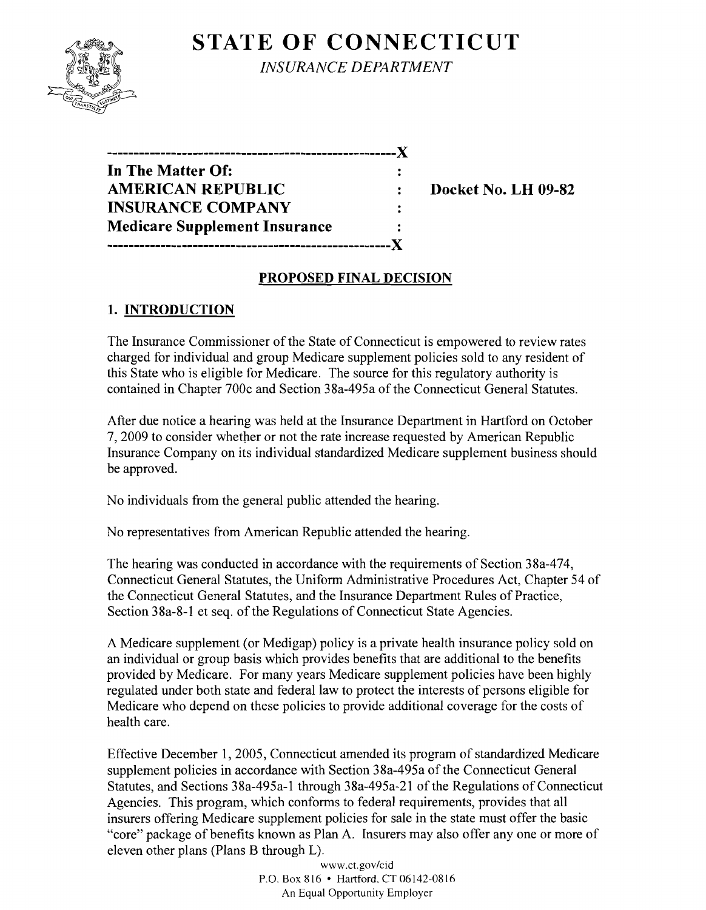# **STATE OF CONNECTICUT**



*INSURANCE DEPARTMENT* 

| ------------------------             |  |
|--------------------------------------|--|
| In The Matter Of:                    |  |
| <b>AMERICAN REPUBLIC</b>             |  |
| <b>INSURANCE COMPANY</b>             |  |
| <b>Medicare Supplement Insurance</b> |  |
|                                      |  |

**Docket No. LH 09-82** 

#### **PROPOSED FINAL DECISION**

### **1. INTRODUCTION**

The Insurance Commissioner of the State of Connecticut is empowered to review rates charged for individual and group Medicare supplement policies sold to any resident of this State who is eligible for Medicare. The source for this regulatory authority is contained in Chapter 700c and Section 38a-495a of the Connecticut General Statutes.

After due notice a hearing was held at the Insurance Department in Hartford on October 7, 2009 to consider whether or not the rate increase requested by American Republic Insurance Company on its individual standardized Medicare supplement business should be approved.

No individuals from the general public attended the hearing.

No representatives from American Republic attended the hearing.

The hearing was conducted in accordance with the requirements of Section 38a-474, Connecticut General Statutes, the Uniform Administrative Procedures Act, Chapter 54 of the Connecticut General Statutes, and the Insurance Department Rules of Practice, Section 38a-8-1 et seq. of the Regulations of Connecticut State Agencies.

A Medicare supplement (or Medigap) policy is a private health insurance policy sold on an individual or group basis which provides benefits that are additional to the benefits provided by Medicare. For many years Medicare supplement policies have been highly regulated under both state and federal law to protect the interests of persons eligible for Medicare who depend on these policies to provide additional coverage for the costs of health care.

Effective December 1,2005, Connecticut amended its program of standardized Medicare supplement policies in accordance with Section 38a-495a of the Connecticut General Statutes, and Sections 38a-495a-l through 38a-495a-21 of the Regulations of Connecticut Agencies. This program, which conforms to federal requirements, provides that all insurers offering Medicare supplement policies for sale in the state must offer the basic "core" package of benefits known as Plan A. Insurers may also offer anyone or more of eleven other plans (Plans B through L).

> www.ct.gov/cid P.O. Box816 • Hartford.CT06142-0816 An Equal Opportunity Employer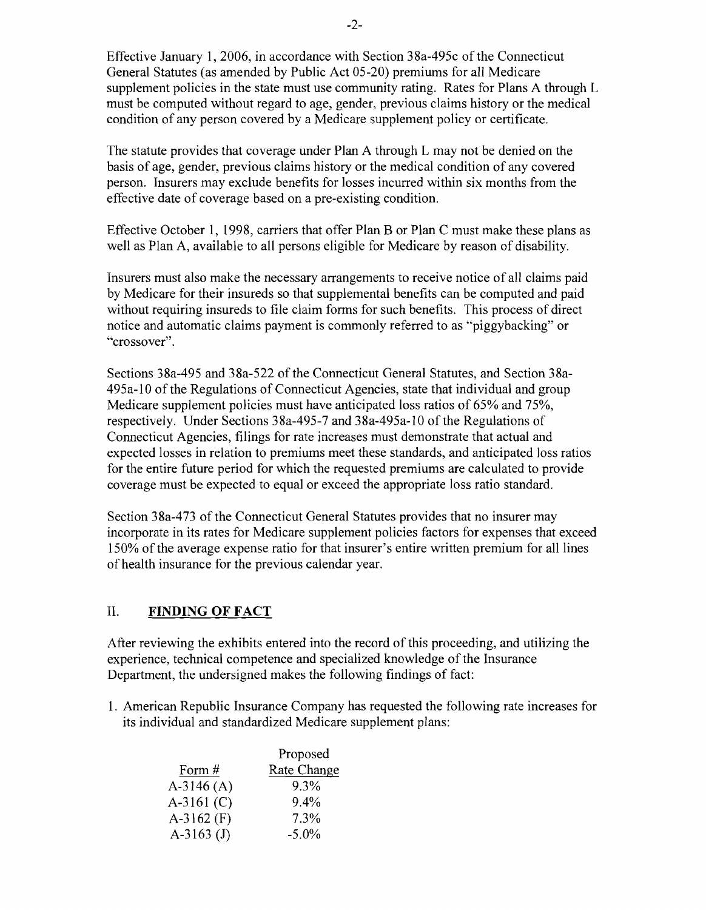Effective January 1,2006, in accordance with Section 38a-495c of the Connecticut General Statutes (as amended by Public Act 05-20) premiums for all Medicare supplement policies in the state must use community rating. Rates for Plans A through L must be computed without regard to age, gender, previous claims history or the medical condition of any person covered by a Medicare supplement policy or certificate.

The statute provides that coverage under Plan A through L may not be denied on the basis of age, gender, previous claims history or the medical condition of any covered person. Insurers may exclude benefits for losses incurred within six months from the effective date of coverage based on a pre-existing condition.

Effective October 1, 1998, carriers that offer Plan B or Plan C must make these plans as well as Plan A, available to all persons eligible for Medicare by reason of disability.

Insurers must also make the necessary arrangements to receive notice of all claims paid by Medicare for their insureds so that supplemental benefits can be computed and paid without requiring insureds to file claim forms for such benefits. This process of direct notice and automatic claims payment is commonly referred to as "piggybacking" or "crossover".

Sections 38a-495 and 38a-522 of the Connecticut General Statutes, and Section 38a-495a-l0 of the Regulations of Connecticut Agencies, state that individual and group Medicare supplement policies must have anticipated loss ratios of 65% and 75%, respectively. Under Sections 38a-495-7 and 38a-495a-10 of the Regulations of Connecticut Agencies, filings for rate increases must demonstrate that actual and expected losses in relation to premiums meet these standards, and anticipated loss ratios for the entire future period for which the requested premiums are calculated to provide coverage must be expected to equal or exceed the appropriate loss ratio standard.

Section 38a-473 of the Connecticut General Statutes provides that no insurer may incorporate in its rates for Medicare supplement policies factors for expenses that exceed 150% of the average expense ratio for that insurer's entire written premium for all lines of health insurance for the previous calendar year.

#### II. **FINDING OF FACT**

After reviewing the exhibits entered into the record of this proceeding, and utilizing the experience, technical competence and specialized knowledge of the Insurance Department, the undersigned makes the following findings of fact:

1. American Republic Insurance Company has requested the following rate increases for its individual and standardized Medicare supplement plans:

|              | Proposed           |
|--------------|--------------------|
| Form #       | <b>Rate Change</b> |
| $A-3146(A)$  | 9.3%               |
| $A-3161$ (C) | $9.4\%$            |
| $A-3162$ (F) | 7.3%               |
| $A-3163$ (J) | $-5.0\%$           |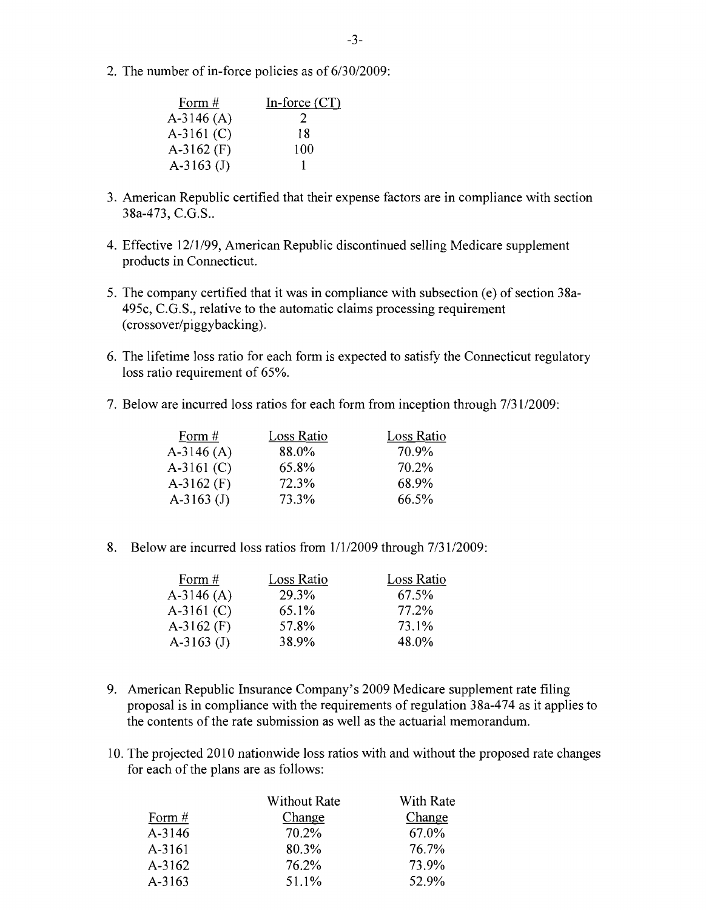2. The number of in-force policies as of 6/30/2009:

| Form #       | In-force $(CT)$ |
|--------------|-----------------|
| $A-3146(A)$  | 2               |
| $A-3161$ (C) | 18              |
| $A-3162$ (F) | 100             |
| $A-3163$ (J) |                 |

- 3. American Republic certified that their expense factors are in compliance with section 38a-473, C.G.S..
- 4. Effective 12/1/99, American Republic discontinued selling Medicare supplement products in Connecticut.
- 5. The company certified that it was in compliance with subsection (e) of section 38a-495c, C.G.S., relative to the automatic claims processing requirement (crossover/piggybacking).
- 6. The lifetime loss ratio for each form is expected to satisfy the Connecticut regulatory loss ratio requirement of 65%.
- 7. Below are incurred loss ratios for each form from inception through 7/31/2009:

| Form $#$     | Loss Ratio | Loss Ratio |
|--------------|------------|------------|
| $A-3146(A)$  | 88.0%      | 70.9%      |
| $A-3161$ (C) | 65.8%      | 70.2%      |
| $A-3162$ (F) | 72.3%      | 68.9%      |
| A-3163 $(J)$ | 73.3%      | 66.5%      |

8. Below are incurred loss ratios from  $1/1/2009$  through  $7/31/2009$ :

| Loss Ratio | Loss Ratio |
|------------|------------|
| 29.3%      | 67.5%      |
| 65.1%      | 77.2%      |
| 57.8%      | 73.1%      |
| 38.9%      | 48.0%      |
|            |            |

- 9. American Republic Insurance Company's 2009 Medicare supplement rate filing proposal is in compliance with the requirements of regulation 38a-474 as it applies to the contents of the rate submission as well as the actuarial memorandum.
- 10. The projected 2010 nationwide loss ratios with and without the proposed rate changes for each of the plans are as follows:

|        | <b>Without Rate</b> | With Rate |
|--------|---------------------|-----------|
| Form # | Change              | Change    |
| A-3146 | 70.2%               | 67.0%     |
| A-3161 | 80.3%               | 76.7%     |
| A-3162 | 76.2%               | 73.9%     |
| A-3163 | 51.1%               | 52.9%     |